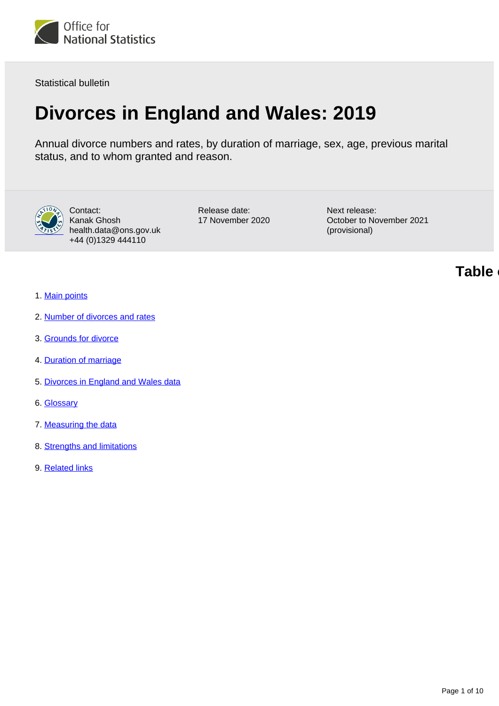

Statistical bulletin

# **Divorces in England and Wales: 2019**

Annual divorce numbers and rates, by duration of marriage, sex, age, previous marital status, and to whom granted and reason.



Contact: Kanak Ghosh health.data@ons.gov.uk +44 (0)1329 444110

Release date: 17 November 2020 Next release: October to November 2021 (provisional)

**Table of contents**

- 1. [Main points](#page-1-0)
- 2. [Number of divorces and rates](#page-1-1)
- 3. [Grounds for divorce](#page-5-0)
- 4. [Duration of marriage](#page-5-1)
- 5. [Divorces in England and Wales data](#page-5-2)
- 6. [Glossary](#page-5-3)
- 7. [Measuring the data](#page-6-0)
- 8. [Strengths and limitations](#page-7-0)
- 9. [Related links](#page-9-0)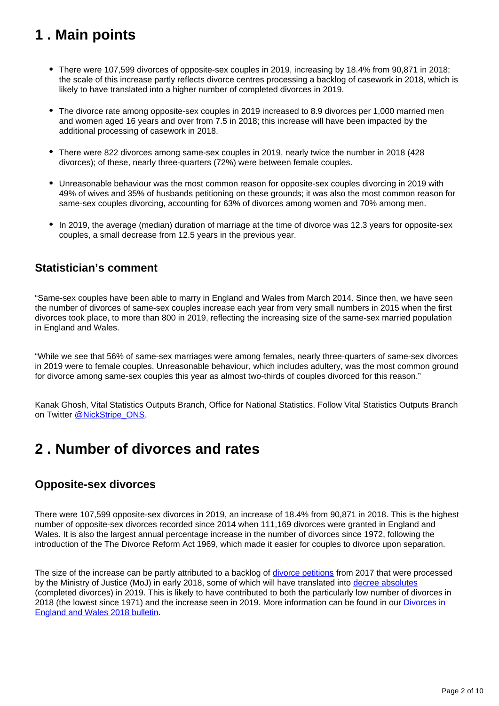## <span id="page-1-0"></span>**1 . Main points**

- There were 107,599 divorces of opposite-sex couples in 2019, increasing by 18.4% from 90,871 in 2018; the scale of this increase partly reflects divorce centres processing a backlog of casework in 2018, which is likely to have translated into a higher number of completed divorces in 2019.
- The divorce rate among opposite-sex couples in 2019 increased to 8.9 divorces per 1,000 married men and women aged 16 years and over from 7.5 in 2018; this increase will have been impacted by the additional processing of casework in 2018.
- There were 822 divorces among same-sex couples in 2019, nearly twice the number in 2018 (428 divorces); of these, nearly three-quarters (72%) were between female couples.
- Unreasonable behaviour was the most common reason for opposite-sex couples divorcing in 2019 with 49% of wives and 35% of husbands petitioning on these grounds; it was also the most common reason for same-sex couples divorcing, accounting for 63% of divorces among women and 70% among men.
- In 2019, the average (median) duration of marriage at the time of divorce was 12.3 years for opposite-sex couples, a small decrease from 12.5 years in the previous year.

### **Statistician's comment**

"Same-sex couples have been able to marry in England and Wales from March 2014. Since then, we have seen the number of divorces of same-sex couples increase each year from very small numbers in 2015 when the first divorces took place, to more than 800 in 2019, reflecting the increasing size of the same-sex married population in England and Wales.

"While we see that 56% of same-sex marriages were among females, nearly three-quarters of same-sex divorces in 2019 were to female couples. Unreasonable behaviour, which includes adultery, was the most common ground for divorce among same-sex couples this year as almost two-thirds of couples divorced for this reason."

Kanak Ghosh, Vital Statistics Outputs Branch, Office for National Statistics. Follow Vital Statistics Outputs Branch on Twitter [@NickStripe\\_ONS.](https://twitter.com/NickStripe_ONS?ref_src=twsrc%5Egoogle%7Ctwcamp%5Eserp%7Ctwgr%5Eauthor)

## <span id="page-1-1"></span>**2 . Number of divorces and rates**

### **Opposite-sex divorces**

There were 107,599 opposite-sex divorces in 2019, an increase of 18.4% from 90,871 in 2018. This is the highest number of opposite-sex divorces recorded since 2014 when 111,169 divorces were granted in England and Wales. It is also the largest annual percentage increase in the number of divorces since 1972, following the introduction of the The Divorce Reform Act 1969, which made it easier for couples to divorce upon separation.

The size of the increase can be partly attributed to a backlog of *divorce petitions* from 2017 that were processed by the Ministry of Justice (MoJ) in early 2018, some of which will have translated into [decree absolutes](https://www.gov.uk/divorce/apply-for-a-decree-absolute) (completed divorces) in 2019. This is likely to have contributed to both the particularly low number of divorces in 2018 (the lowest since 1971) and the increase seen in 2019. More information can be found in our [Divorces in](https://www.ons.gov.uk/peoplepopulationandcommunity/birthsdeathsandmarriages/divorce/bulletins/divorcesinenglandandwales/2018)  [England and Wales 2018 bulletin](https://www.ons.gov.uk/peoplepopulationandcommunity/birthsdeathsandmarriages/divorce/bulletins/divorcesinenglandandwales/2018).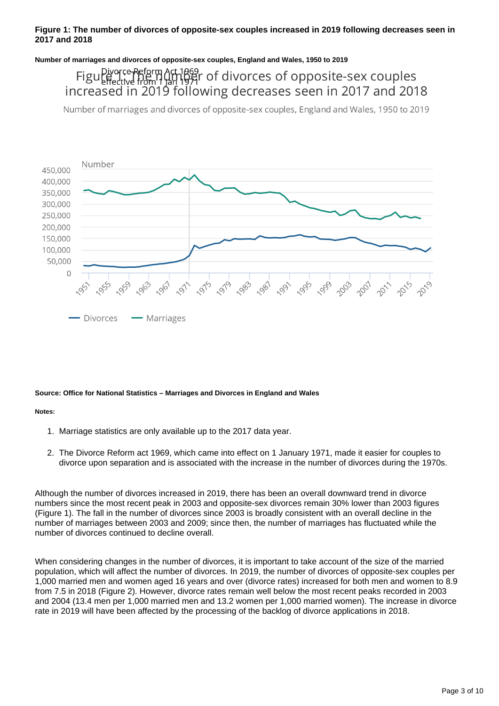#### **Figure 1: The number of divorces of opposite-sex couples increased in 2019 following decreases seen in 2017 and 2018**

**Number of marriages and divorces of opposite-sex couples, England and Wales, 1950 to 2019**

Figular energy act 1869<br>Figular team 1 tan 1941 of divorces of opposite-sex couples increased in 2019 following decreases seen in 2017 and 2018

Number of marriages and divorces of opposite-sex couples, England and Wales, 1950 to 2019



#### **Source: Office for National Statistics – Marriages and Divorces in England and Wales**

**Notes:**

- 1. Marriage statistics are only available up to the 2017 data year.
- 2. The Divorce Reform act 1969, which came into effect on 1 January 1971, made it easier for couples to divorce upon separation and is associated with the increase in the number of divorces during the 1970s.

Although the number of divorces increased in 2019, there has been an overall downward trend in divorce numbers since the most recent peak in 2003 and opposite-sex divorces remain 30% lower than 2003 figures (Figure 1). The fall in the number of divorces since 2003 is broadly consistent with an overall decline in the number of marriages between 2003 and 2009; since then, the number of marriages has fluctuated while the number of divorces continued to decline overall.

When considering changes in the number of divorces, it is important to take account of the size of the married population, which will affect the number of divorces. In 2019, the number of divorces of opposite-sex couples per 1,000 married men and women aged 16 years and over (divorce rates) increased for both men and women to 8.9 from 7.5 in 2018 (Figure 2). However, divorce rates remain well below the most recent peaks recorded in 2003 and 2004 (13.4 men per 1,000 married men and 13.2 women per 1,000 married women). The increase in divorce rate in 2019 will have been affected by the processing of the backlog of divorce applications in 2018.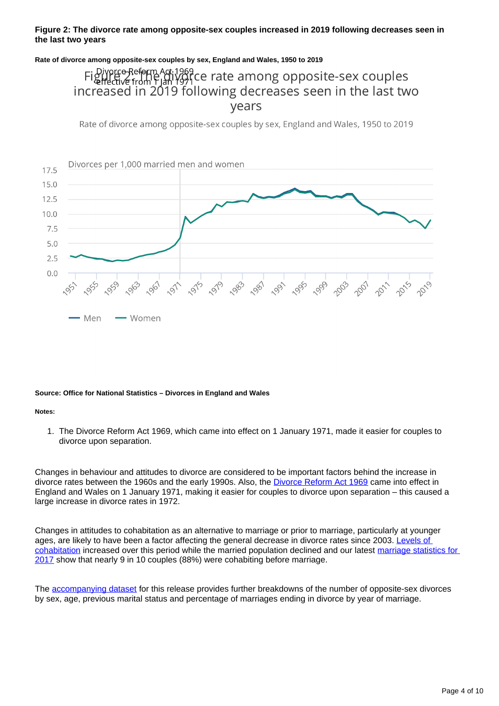#### **Figure 2: The divorce rate among opposite-sex couples increased in 2019 following decreases seen in the last two years**

#### **Rate of divorce among opposite-sex couples by sex, England and Wales, 1950 to 2019**

## FigureeReform Ad:1969<br>Figure from Flan 1971ce rate among opposite-sex couples increased in 2019 following decreases seen in the last two vears

Rate of divorce among opposite-sex couples by sex, England and Wales, 1950 to 2019



#### **Source: Office for National Statistics – Divorces in England and Wales**

#### **Notes:**

1. The Divorce Reform Act 1969, which came into effect on 1 January 1971, made it easier for couples to divorce upon separation.

Changes in behaviour and attitudes to divorce are considered to be important factors behind the increase in divorce rates between the 1960s and the early 1990s. Also, the [Divorce Reform Act 1969](https://www.legislation.gov.uk/ukpga/1969/55/contents/enacted) came into effect in England and Wales on 1 January 1971, making it easier for couples to divorce upon separation – this caused a large increase in divorce rates in 1972.

Changes in attitudes to cohabitation as an alternative to marriage or prior to marriage, particularly at younger ages, are likely to have been a factor affecting the general decrease in divorce rates since 2003. [Levels of](https://www.ons.gov.uk/peoplepopulationandcommunity/populationandmigration/populationestimates/bulletins/populationestimatesbymaritalstatusandlivingarrangements/2019)  [cohabitation](https://www.ons.gov.uk/peoplepopulationandcommunity/populationandmigration/populationestimates/bulletins/populationestimatesbymaritalstatusandlivingarrangements/2019) increased over this period while the married population declined and our latest [marriage statistics for](https://www.ons.gov.uk/peoplepopulationandcommunity/birthsdeathsandmarriages/marriagecohabitationandcivilpartnerships/bulletins/marriagesinenglandandwalesprovisional/2017)  [2017](https://www.ons.gov.uk/peoplepopulationandcommunity/birthsdeathsandmarriages/marriagecohabitationandcivilpartnerships/bulletins/marriagesinenglandandwalesprovisional/2017) show that nearly 9 in 10 couples (88%) were cohabiting before marriage.

The [accompanying dataset](https://www.ons.gov.uk/peoplepopulationandcommunity/birthsdeathsandmarriages/divorce/datasets/divorcesinenglandandwales) for this release provides further breakdowns of the number of opposite-sex divorces by sex, age, previous marital status and percentage of marriages ending in divorce by year of marriage.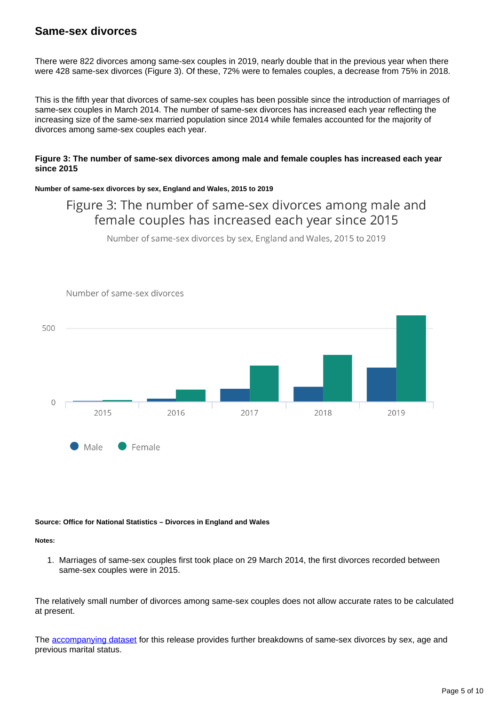### **Same-sex divorces**

There were 822 divorces among same-sex couples in 2019, nearly double that in the previous year when there were 428 same-sex divorces (Figure 3). Of these, 72% were to females couples, a decrease from 75% in 2018.

This is the fifth year that divorces of same-sex couples has been possible since the introduction of marriages of same-sex couples in March 2014. The number of same-sex divorces has increased each year reflecting the increasing size of the same-sex married population since 2014 while females accounted for the majority of divorces among same-sex couples each year.

#### **Figure 3: The number of same-sex divorces among male and female couples has increased each year since 2015**

#### **Number of same-sex divorces by sex, England and Wales, 2015 to 2019**

## Figure 3: The number of same-sex divorces among male and female couples has increased each year since 2015

Number of same-sex divorces by sex, England and Wales, 2015 to 2019



**Source: Office for National Statistics – Divorces in England and Wales**

**Notes:**

1. Marriages of same-sex couples first took place on 29 March 2014, the first divorces recorded between same-sex couples were in 2015.

The relatively small number of divorces among same-sex couples does not allow accurate rates to be calculated at present.

The [accompanying dataset](https://www.ons.gov.uk/peoplepopulationandcommunity/birthsdeathsandmarriages/divorce/datasets/divorcesinenglandandwales) for this release provides further breakdowns of same-sex divorces by sex, age and previous marital status.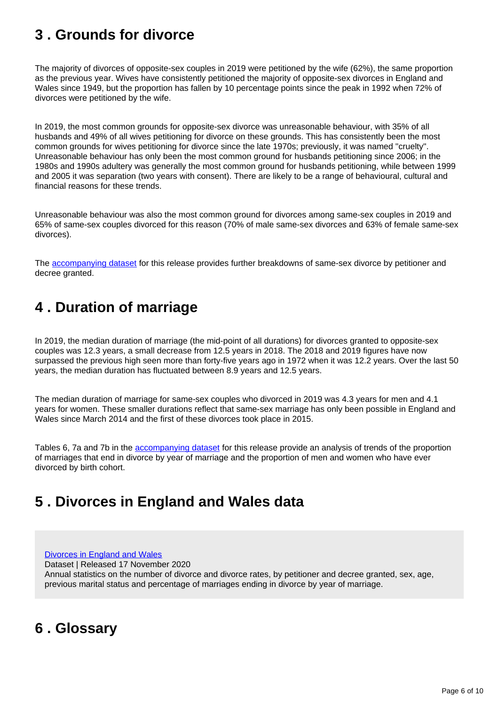## <span id="page-5-0"></span>**3 . Grounds for divorce**

The majority of divorces of opposite-sex couples in 2019 were petitioned by the wife (62%), the same proportion as the previous year. Wives have consistently petitioned the majority of opposite-sex divorces in England and Wales since 1949, but the proportion has fallen by 10 percentage points since the peak in 1992 when 72% of divorces were petitioned by the wife.

In 2019, the most common grounds for opposite-sex divorce was unreasonable behaviour, with 35% of all husbands and 49% of all wives petitioning for divorce on these grounds. This has consistently been the most common grounds for wives petitioning for divorce since the late 1970s; previously, it was named "cruelty". Unreasonable behaviour has only been the most common ground for husbands petitioning since 2006; in the 1980s and 1990s adultery was generally the most common ground for husbands petitioning, while between 1999 and 2005 it was separation (two years with consent). There are likely to be a range of behavioural, cultural and financial reasons for these trends.

Unreasonable behaviour was also the most common ground for divorces among same-sex couples in 2019 and 65% of same-sex couples divorced for this reason (70% of male same-sex divorces and 63% of female same-sex divorces).

The [accompanying dataset](https://www.ons.gov.uk/peoplepopulationandcommunity/birthsdeathsandmarriages/divorce/datasets/divorcesinenglandandwales) for this release provides further breakdowns of same-sex divorce by petitioner and decree granted.

## <span id="page-5-1"></span>**4 . Duration of marriage**

In 2019, the median duration of marriage (the mid-point of all durations) for divorces granted to opposite-sex couples was 12.3 years, a small decrease from 12.5 years in 2018. The 2018 and 2019 figures have now surpassed the previous high seen more than forty-five years ago in 1972 when it was 12.2 years. Over the last 50 years, the median duration has fluctuated between 8.9 years and 12.5 years.

The median duration of marriage for same-sex couples who divorced in 2019 was 4.3 years for men and 4.1 years for women. These smaller durations reflect that same-sex marriage has only been possible in England and Wales since March 2014 and the first of these divorces took place in 2015.

Tables 6, 7a and 7b in the [accompanying dataset](https://www.ons.gov.uk/peoplepopulationandcommunity/birthsdeathsandmarriages/divorce/datasets/divorcesinenglandandwales) for this release provide an analysis of trends of the proportion of marriages that end in divorce by year of marriage and the proportion of men and women who have ever divorced by birth cohort.

## <span id="page-5-2"></span>**5 . Divorces in England and Wales data**

[Divorces in England and Wales](https://www.ons.gov.uk/peoplepopulationandcommunity/birthsdeathsandmarriages/divorce/datasets/divorcesinenglandandwales)

Dataset | Released 17 November 2020

Annual statistics on the number of divorce and divorce rates, by petitioner and decree granted, sex, age, previous marital status and percentage of marriages ending in divorce by year of marriage.

## <span id="page-5-3"></span>**6 . Glossary**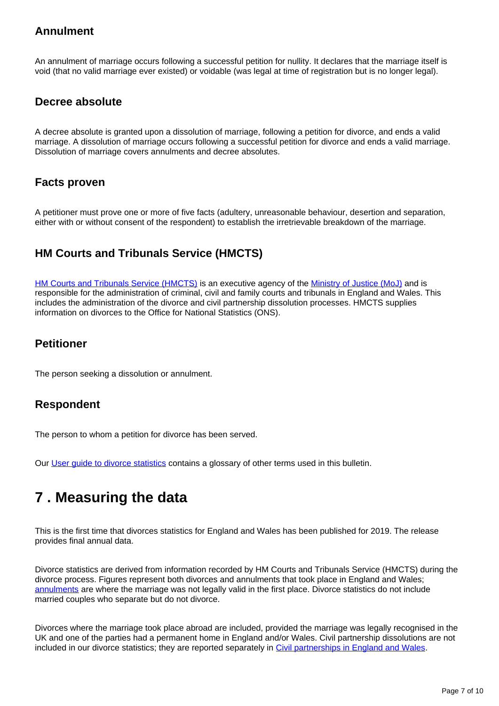## **Annulment**

An annulment of marriage occurs following a successful petition for nullity. It declares that the marriage itself is void (that no valid marriage ever existed) or voidable (was legal at time of registration but is no longer legal).

### **Decree absolute**

A decree absolute is granted upon a dissolution of marriage, following a petition for divorce, and ends a valid marriage. A dissolution of marriage occurs following a successful petition for divorce and ends a valid marriage. Dissolution of marriage covers annulments and decree absolutes.

### **Facts proven**

A petitioner must prove one or more of five facts (adultery, unreasonable behaviour, desertion and separation, either with or without consent of the respondent) to establish the irretrievable breakdown of the marriage.

## **HM Courts and Tribunals Service (HMCTS)**

[HM Courts and Tribunals Service \(HMCTS\)](https://www.gov.uk/government/organisations/hm-courts-and-tribunals-service) is an executive agency of the [Ministry of Justice \(MoJ\)](https://www.gov.uk/government/organisations/ministry-of-justice) and is responsible for the administration of criminal, civil and family courts and tribunals in England and Wales. This includes the administration of the divorce and civil partnership dissolution processes. HMCTS supplies information on divorces to the Office for National Statistics (ONS).

### **Petitioner**

The person seeking a dissolution or annulment.

### **Respondent**

The person to whom a petition for divorce has been served.

Our [User guide to divorce statistics](https://www.ons.gov.uk/peoplepopulationandcommunity/birthsdeathsandmarriages/divorce/methodologies/userguidetodivorcestatistics) contains a glossary of other terms used in this bulletin.

## <span id="page-6-0"></span>**7 . Measuring the data**

This is the first time that divorces statistics for England and Wales has been published for 2019. The release provides final annual data.

Divorce statistics are derived from information recorded by HM Courts and Tribunals Service (HMCTS) during the divorce process. Figures represent both divorces and annulments that took place in England and Wales; [annulments](https://www.gov.uk/how-to-annul-marriage/when-you-can-annul-a-marriage) are where the marriage was not legally valid in the first place. Divorce statistics do not include married couples who separate but do not divorce.

Divorces where the marriage took place abroad are included, provided the marriage was legally recognised in the UK and one of the parties had a permanent home in England and/or Wales. Civil partnership dissolutions are not included in our divorce statistics; they are reported separately in [Civil partnerships in England and Wales.](https://www.ons.gov.uk/peoplepopulationandcommunity/birthsdeathsandmarriages/marriagecohabitationandcivilpartnerships/bulletins/civilpartnershipsinenglandandwales/previousReleases)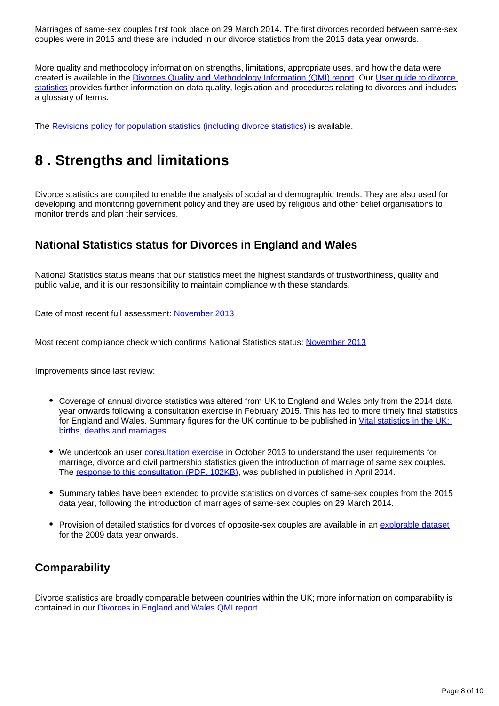Marriages of same-sex couples first took place on 29 March 2014. The first divorces recorded between same-sex couples were in 2015 and these are included in our divorce statistics from the 2015 data year onwards.

More quality and methodology information on strengths, limitations, appropriate uses, and how the data were created is available in the [Divorces Quality and Methodology Information \(QMI\) report.](https://www.ons.gov.uk/peoplepopulationandcommunity/birthsdeathsandmarriages/divorce/methodologies/divorcesinenglandandwalesqmi) Our User quide to divorce [statistics](https://www.ons.gov.uk/peoplepopulationandcommunity/birthsdeathsandmarriages/divorce/methodologies/userguidetodivorcestatistics) provides further information on data quality, legislation and procedures relating to divorces and includes a glossary of terms.

The [Revisions policy for population statistics \(including divorce statistics\)](http://www.ons.gov.uk/methodology/methodologytopicsandstatisticalconcepts/revisions/revisionspoliciesforpopulationstatistics) is available.

## <span id="page-7-0"></span>**8 . Strengths and limitations**

Divorce statistics are compiled to enable the analysis of social and demographic trends. They are also used for developing and monitoring government policy and they are used by religious and other belief organisations to monitor trends and plan their services.

### **National Statistics status for Divorces in England and Wales**

National Statistics status means that our statistics meet the highest standards of trustworthiness, quality and public value, and it is our responsibility to maintain compliance with these standards.

Date of most recent full assessment: [November 2013](https://uksa.statisticsauthority.gov.uk/publication/statistics-on-marriages-and-divorces-in-england-and-wales-letter-of-confirmation-as-national-statistics/)

Most recent compliance check which confirms National Statistics status: [November 2013](https://uksa.statisticsauthority.gov.uk/publication/statistics-on-marriages-and-divorces-in-england-and-wales-letter-of-confirmation-as-national-statistics/)

Improvements since last review:

- Coverage of annual divorce statistics was altered from UK to England and Wales only from the 2014 data year onwards following a consultation exercise in February 2015. This has led to more timely final statistics for England and Wales. Summary figures for the UK continue to be published in Vital statistics in the UK: [births, deaths and marriages](http://www.ons.gov.uk/peoplepopulationandcommunity/populationandmigration/populationestimates/datasets/vitalstatisticspopulationandhealthreferencetables).
- We undertook an user **consultation exercise** in October 2013 to understand the user requirements for marriage, divorce and civil partnership statistics given the introduction of marriage of same sex couples. The [response to this consultation \(PDF, 102KB\)](https://webarchive.nationalarchives.gov.uk/20160106130208/http:/www.ons.gov.uk/ons/about-ons/get-involved/consultations-and-user-surveys/consultations/user-requirements-for-marriage--divorce-and-civil-partnership-statistics/summary-of-responses-and-future-plans.pdf), was published in published in April 2014.
- Summary tables have been extended to provide statistics on divorces of same-sex couples from the 2015 data year, following the introduction of marriages of same-sex couples on 29 March 2014.
- Provision of detailed statistics for divorces of opposite-sex couples are available in an [explorable dataset](https://www.nomisweb.co.uk/query/construct/summary.asp?mode=construct&version=0&dataset=167) for the 2009 data year onwards.

### **Comparability**

Divorce statistics are broadly comparable between countries within the UK; more information on comparability is contained in our [Divorces in England and Wales QMI report](https://www.ons.gov.uk/peoplepopulationandcommunity/birthsdeathsandmarriages/divorce/methodologies/divorcesinenglandandwalesqmi).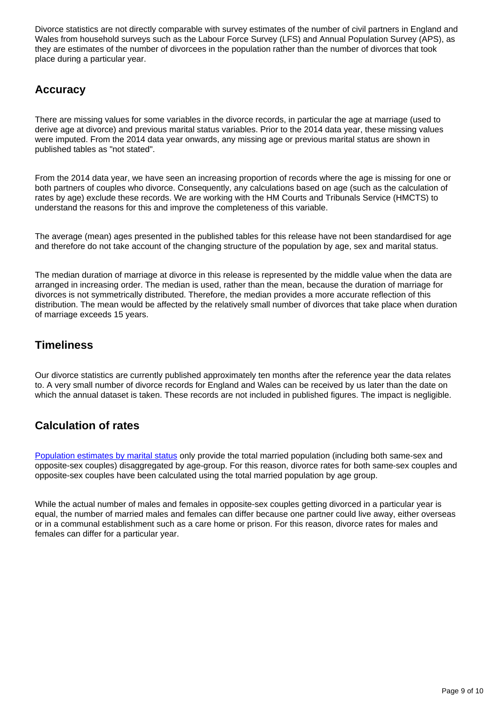Divorce statistics are not directly comparable with survey estimates of the number of civil partners in England and Wales from household surveys such as the Labour Force Survey (LFS) and Annual Population Survey (APS), as they are estimates of the number of divorcees in the population rather than the number of divorces that took place during a particular year.

## **Accuracy**

There are missing values for some variables in the divorce records, in particular the age at marriage (used to derive age at divorce) and previous marital status variables. Prior to the 2014 data year, these missing values were imputed. From the 2014 data year onwards, any missing age or previous marital status are shown in published tables as "not stated".

From the 2014 data year, we have seen an increasing proportion of records where the age is missing for one or both partners of couples who divorce. Consequently, any calculations based on age (such as the calculation of rates by age) exclude these records. We are working with the HM Courts and Tribunals Service (HMCTS) to understand the reasons for this and improve the completeness of this variable.

The average (mean) ages presented in the published tables for this release have not been standardised for age and therefore do not take account of the changing structure of the population by age, sex and marital status.

The median duration of marriage at divorce in this release is represented by the middle value when the data are arranged in increasing order. The median is used, rather than the mean, because the duration of marriage for divorces is not symmetrically distributed. Therefore, the median provides a more accurate reflection of this distribution. The mean would be affected by the relatively small number of divorces that take place when duration of marriage exceeds 15 years.

## **Timeliness**

Our divorce statistics are currently published approximately ten months after the reference year the data relates to. A very small number of divorce records for England and Wales can be received by us later than the date on which the annual dataset is taken. These records are not included in published figures. The impact is negligible.

## **Calculation of rates**

[Population estimates by marital status](https://www.ons.gov.uk/peoplepopulationandcommunity/populationandmigration/populationestimates/bulletins/populationestimatesbymaritalstatusandlivingarrangements/2019) only provide the total married population (including both same-sex and opposite-sex couples) disaggregated by age-group. For this reason, divorce rates for both same-sex couples and opposite-sex couples have been calculated using the total married population by age group.

While the actual number of males and females in opposite-sex couples getting divorced in a particular year is equal, the number of married males and females can differ because one partner could live away, either overseas or in a communal establishment such as a care home or prison. For this reason, divorce rates for males and females can differ for a particular year.